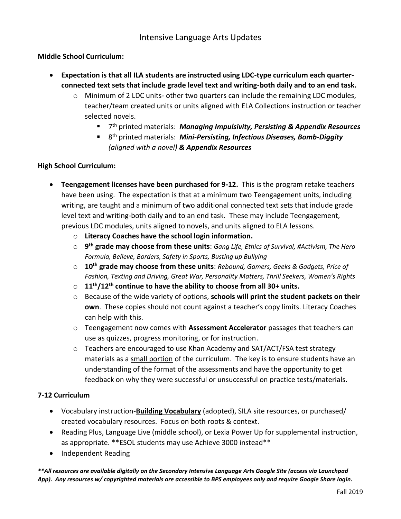### **Middle School Curriculum:**

- **Expectation is that all ILA students are instructed using LDC-type curriculum each quarterconnected text sets that include grade level text and writing-both daily and to an end task.**
	- o Minimum of 2 LDC units- other two quarters can include the remaining LDC modules, teacher/team created units or units aligned with ELA Collections instruction or teacher selected novels.
		- 7 th printed materials: *Managing Impulsivity, Persisting & Appendix Resources*
		- 8<sup>th</sup> printed materials: *Mini-Persisting, Infectious Diseases, Bomb-Diggity (aligned with a novel) & Appendix Resources*

### **High School Curriculum:**

- **Teengagement licenses have been purchased for 9-12.** This is the program retake teachers have been using. The expectation is that at a minimum two Teengagement units, including writing, are taught and a minimum of two additional connected text sets that include grade level text and writing-both daily and to an end task. These may include Teengagement, previous LDC modules, units aligned to novels, and units aligned to ELA lessons.
	- o **Literacy Coaches have the school login information.**
	- o **9 th grade may choose from these units**: *Gang Life, Ethics of Survival, #Activism, The Hero Formula, Believe, Borders, Safety in Sports, Busting up Bullying*
	- o **10th grade may choose from these units**: *Rebound, Gamers, Geeks & Gadgets, Price of Fashion, Texting and Driving, Great War, Personality Matters, Thrill Seekers, Women's Rights*
	- o **11th/12th continue to have the ability to choose from all 30+ units.**
	- o Because of the wide variety of options, **schools will print the student packets on their own**. These copies should not count against a teacher's copy limits. Literacy Coaches can help with this.
	- o Teengagement now comes with **Assessment Accelerator** passages that teachers can use as quizzes, progress monitoring, or for instruction.
	- $\circ$  Teachers are encouraged to use Khan Academy and SAT/ACT/FSA test strategy materials as a small portion of the curriculum. The key is to ensure students have an understanding of the format of the assessments and have the opportunity to get feedback on why they were successful or unsuccessful on practice tests/materials.

### **7-12 Curriculum**

- Vocabulary instruction-**Building Vocabulary** (adopted), SILA site resources, or purchased/ created vocabulary resources. Focus on both roots & context.
- Reading Plus, Language Live (middle school), or Lexia Power Up for supplemental instruction, as appropriate. \*\*ESOL students may use Achieve 3000 instead\*\*
- Independent Reading

*\*\*All resources are available digitally on the Secondary Intensive Language Arts Google Site (access via Launchpad App). Any resources w/ copyrighted materials are accessible to BPS employees only and require Google Share login.*